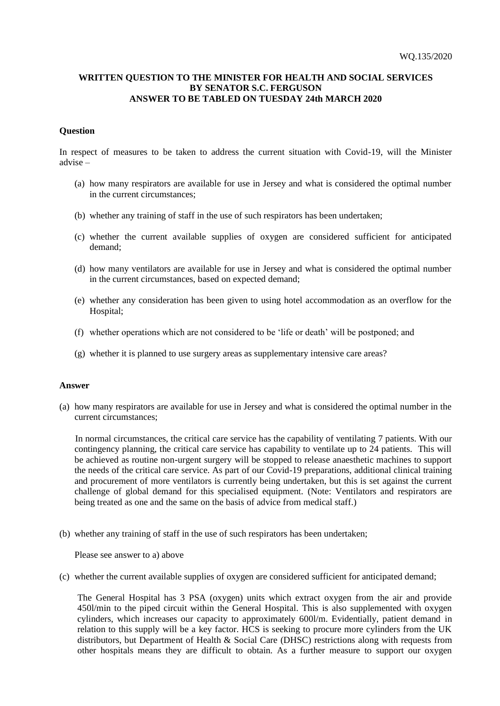## **WRITTEN QUESTION TO THE MINISTER FOR HEALTH AND SOCIAL SERVICES BY SENATOR S.C. FERGUSON ANSWER TO BE TABLED ON TUESDAY 24th MARCH 2020**

## **Question**

In respect of measures to be taken to address the current situation with Covid-19, will the Minister advise –

- (a) how many respirators are available for use in Jersey and what is considered the optimal number in the current circumstances;
- (b) whether any training of staff in the use of such respirators has been undertaken;
- (c) whether the current available supplies of oxygen are considered sufficient for anticipated demand;
- (d) how many ventilators are available for use in Jersey and what is considered the optimal number in the current circumstances, based on expected demand;
- (e) whether any consideration has been given to using hotel accommodation as an overflow for the Hospital;
- (f) whether operations which are not considered to be 'life or death' will be postponed; and
- (g) whether it is planned to use surgery areas as supplementary intensive care areas?

## **Answer**

(a) how many respirators are available for use in Jersey and what is considered the optimal number in the current circumstances;

In normal circumstances, the critical care service has the capability of ventilating 7 patients. With our contingency planning, the critical care service has capability to ventilate up to 24 patients. This will be achieved as routine non-urgent surgery will be stopped to release anaesthetic machines to support the needs of the critical care service. As part of our Covid-19 preparations, additional clinical training and procurement of more ventilators is currently being undertaken, but this is set against the current challenge of global demand for this specialised equipment. (Note: Ventilators and respirators are being treated as one and the same on the basis of advice from medical staff.)

(b) whether any training of staff in the use of such respirators has been undertaken;

Please see answer to a) above

(c) whether the current available supplies of oxygen are considered sufficient for anticipated demand;

The General Hospital has 3 PSA (oxygen) units which extract oxygen from the air and provide 450l/min to the piped circuit within the General Hospital. This is also supplemented with oxygen cylinders, which increases our capacity to approximately 600l/m. Evidentially, patient demand in relation to this supply will be a key factor. HCS is seeking to procure more cylinders from the UK distributors, but Department of Health & Social Care (DHSC) restrictions along with requests from other hospitals means they are difficult to obtain. As a further measure to support our oxygen